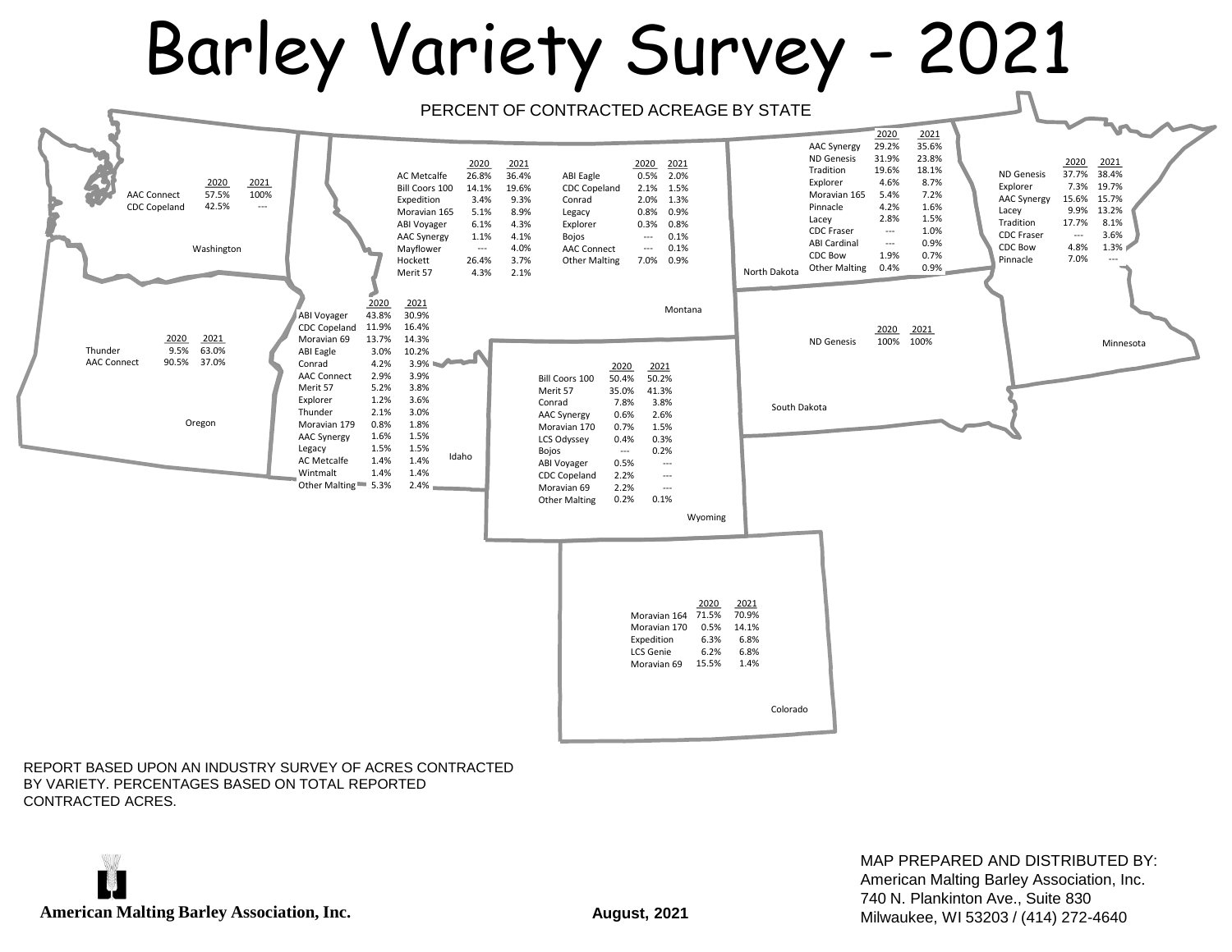## Barley Variety Survey - 2021



REPORT BASED UPON AN INDUSTRY SURVEY OF ACRES CONTRACTED BY VARIETY. PERCENTAGES BASED ON TOTAL REPORTED CONTRACTED ACRES.